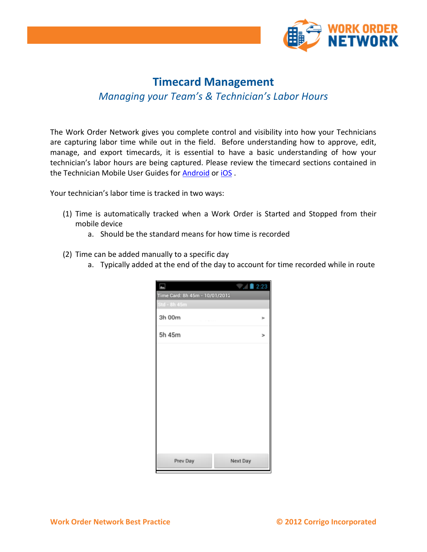

# **Timecard Management** *Managing your Team's & Technician's Labor Hours*

The Work Order Network gives you complete control and visibility into how your Technicians are capturing labor time while out in the field. Before understanding how to approve, edit, manage, and export timecards, it is essential to have a basic understanding of how your technician's labor hours are being captured. Please review the timecard sections contained in the Technician Mobile User Guides for [Android](http://media.corrigo.com/SprintTraining/Sprint/Internal%20Technician%20Mobile%20App%20-%20Android%20User%20Guide.pdf) or [iOS](http://media.corrigo.com/SprintTraining/Sprint/Internal%20Technician%20Mobile%20App%20-%20iPhone%20User%20Guide.pdf) .

Your technician's labor time is tracked in two ways:

- (1) Time is automatically tracked when a Work Order is Started and Stopped from their mobile device
	- a. Should be the standard means for how time is recorded
- (2) Time can be added manually to a specific day
	- a. Typically added at the end of the day to account for time recorded while in route

| ш                              | $\angle$ 2:23 |   |
|--------------------------------|---------------|---|
| Time Card: 8h 45m - 10/01/2012 |               |   |
| Std - 8h 45m                   |               |   |
| 3h 00m                         |               | r |
| 5h 45m                         |               | > |
|                                |               |   |
|                                |               |   |
|                                |               |   |
|                                |               |   |
|                                |               |   |
|                                |               |   |
| Prev Day                       | Next Day      |   |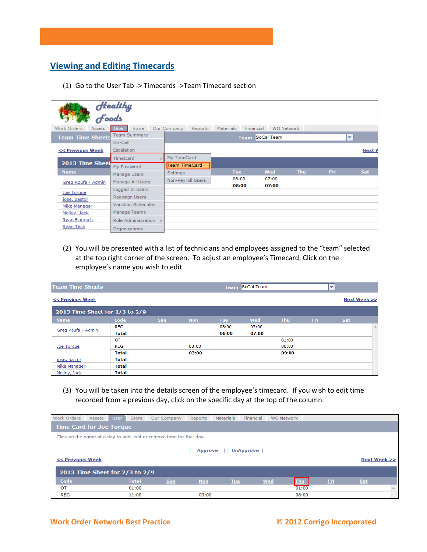## **Viewing and Editing Timecards**

(1) Go to the User Tab -> Timecards ->Team Timecard section

|                         | Healthy<br>Foods          |                        |                           |                                |            |      |        |  |  |  |  |  |
|-------------------------|---------------------------|------------------------|---------------------------|--------------------------------|------------|------|--------|--|--|--|--|--|
| Work Orders<br>Assets   | Store                     | Our Company<br>Reports | <b>Materials</b>          | Financial<br><b>WO Network</b> |            |      |        |  |  |  |  |  |
| <b>Team Time Sheets</b> | <b>Team Summary</b>       |                        | SoCal Team<br><b>Team</b> |                                |            |      |        |  |  |  |  |  |
|                         | On-Call                   |                        |                           |                                |            |      |        |  |  |  |  |  |
| << Previous Week        | Escalation                |                        |                           |                                |            |      | Next \ |  |  |  |  |  |
|                         | TimeCard                  | My TimeCard            |                           |                                |            |      |        |  |  |  |  |  |
| 2013 Time Sheet         | My Password               | Team TimeCard          |                           |                                |            |      |        |  |  |  |  |  |
| <b>Name</b>             | Manage Users              | Settings               | Tue                       | Wed                            | <b>Thu</b> | Fri. | Sat    |  |  |  |  |  |
| Greg Roufa - Admin      | Manage All Users          | Non-Payroll Users      | 08:00                     | 07:00                          |            |      |        |  |  |  |  |  |
|                         |                           |                        | 08:00                     | 07:00                          |            |      |        |  |  |  |  |  |
| Joe Torque              | Logged In Users           |                        |                           |                                |            |      |        |  |  |  |  |  |
| jose, pastor            | Reassign Users            |                        |                           |                                |            |      |        |  |  |  |  |  |
| Mike Manager            | <b>Vacation Schedules</b> |                        |                           |                                |            |      |        |  |  |  |  |  |
| Molloy, Jack            | Manage Teams              |                        |                           |                                |            |      |        |  |  |  |  |  |
| Ryan Floersch           | Role Administration       |                        |                           |                                |            |      |        |  |  |  |  |  |
| Ryan Tech               | Organizations             |                        |                           |                                |            |      |        |  |  |  |  |  |

(2) You will be presented with a list of technicians and employees assigned to the "team" selected at the top right corner of the screen. To adjust an employee's Timecard, Click on the employee's name you wish to edit.

| <b>Team Time Sheets</b>        |              |            |       | <b>Team</b> | SoCal Team |            |     | $\overline{\phantom{a}}$ |   |
|--------------------------------|--------------|------------|-------|-------------|------------|------------|-----|--------------------------|---|
| << Previous Week               |              |            |       |             |            |            |     | Next Week >>             |   |
| 2013 Time Sheet for 2/3 to 2/9 |              |            |       |             |            |            |     |                          |   |
| <b>Name</b>                    | Code         | <b>Sun</b> | Mon   | <b>Tue</b>  | Wed        | <b>Thu</b> | Fri | Sat                      |   |
|                                | REG          |            |       | 08:00       | 07:00      |            |     |                          | 三 |
| Greg Roufa - Admin             | <b>Total</b> |            |       | 08:00       | 07:00      |            |     |                          |   |
|                                | OT           |            |       |             |            | 01:00      |     |                          |   |
| Joe Torque                     | <b>REG</b>   |            | 03:00 |             |            | 08:00      |     |                          |   |
|                                | <b>Total</b> |            | 03:00 |             |            | 09:00      |     |                          |   |
| jose, pastor                   | <b>Total</b> |            |       |             |            |            |     |                          |   |
| Mike Manager                   | <b>Total</b> |            |       |             |            |            |     |                          |   |
| Molloy, Jack                   | <b>Total</b> |            |       |             |            |            |     |                          |   |

(3) You will be taken into the details screen of the employee's timecard. If you wish to edit time recorded from a previous day, click on the specific day at the top of the column.

| Work Orders                                                          | Assets | <b>User</b> | Store        | Our Company | Reports        | Materials  | Financial        | <b>WO Network</b> |            |     |              |
|----------------------------------------------------------------------|--------|-------------|--------------|-------------|----------------|------------|------------------|-------------------|------------|-----|--------------|
| <b>Time Card for Joe Torque</b>                                      |        |             |              |             |                |            |                  |                   |            |     |              |
| Click on the name of a day to add, edit or remove time for that day. |        |             |              |             |                |            |                  |                   |            |     |              |
|                                                                      |        |             |              |             |                |            |                  |                   |            |     |              |
|                                                                      |        |             |              |             | <b>Approve</b> |            | <b>UnApprove</b> |                   |            |     |              |
| << Previous Week                                                     |        |             |              |             |                |            |                  |                   |            |     | Next Week >> |
| 2013 Time Sheet for 2/3 to 2/9                                       |        |             |              |             |                |            |                  |                   |            |     |              |
|                                                                      |        |             |              |             |                |            |                  |                   |            |     |              |
| Code                                                                 |        |             | <b>Total</b> | <b>Sun</b>  | Mon            | <b>Tue</b> |                  | Wed<br><b>Thu</b> | <b>Fri</b> | Sat |              |
| OT                                                                   |        |             | 01:00        |             |                |            |                  | 01:00             |            |     | A.           |
| <b>REG</b>                                                           |        |             | 11:00        |             | 03:00          |            |                  | 08:00             |            |     |              |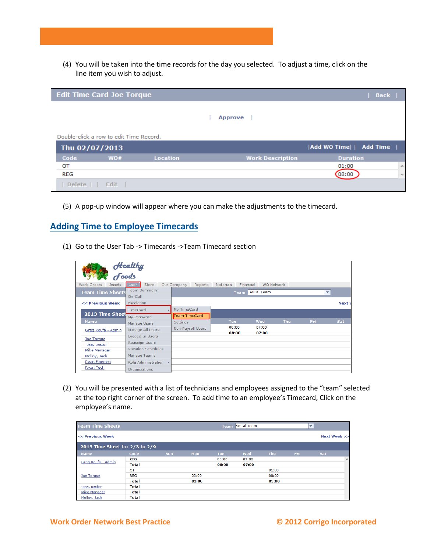(4) You will be taken into the time records for the day you selected. To adjust a time, click on the line item you wish to adjust.

|                | <b>Edit Time Card Joe Torque</b>        |                 |                         | Back                                |
|----------------|-----------------------------------------|-----------------|-------------------------|-------------------------------------|
|                |                                         |                 | <b>Approve</b>          |                                     |
|                | Double-click a row to edit Time Record. |                 |                         |                                     |
| Thu 02/07/2013 |                                         |                 |                         | Add WO Time   Add Time              |
| Code           | WO#                                     | <b>Location</b> | <b>Work Description</b> | <b>Duration</b>                     |
| OT             |                                         |                 |                         | 01:00<br>$\blacktriangle$           |
| <b>REG</b>     |                                         |                 |                         | (08:00)<br>$\overline{\phantom{a}}$ |
| Delete         | Edit                                    |                 |                         |                                     |

(5) A pop-up window will appear where you can make the adjustments to the timecard.

#### **Adding Time to Employee Timecards**

(1) Go to the User Tab -> Timecards ->Team Timecard section

|                         | Healthy<br>Foods          |                        |                               |                   |     |      |               |
|-------------------------|---------------------------|------------------------|-------------------------------|-------------------|-----|------|---------------|
| Work Orders<br>Assets   | <b>Store</b>              | Our Company<br>Reports | Financial<br><b>Materials</b> | <b>WO Network</b> |     |      |               |
| <b>Team Time Sheets</b> | <b>Team Summary</b>       |                        | <b>Team</b>                   | SoCal Team        |     |      | ÷             |
|                         | On-Call                   |                        |                               |                   |     |      |               |
| << Previous Week        | <b>Escalation</b>         |                        |                               |                   |     |      | <b>Next V</b> |
|                         | <b>TimeCard</b>           | My TimeCard            |                               |                   |     |      |               |
| 2013 Time Sheet         | Mv Password               | Team TimeCard          |                               |                   |     |      |               |
| <b>Name</b>             | Manage Users              | Settings               | <b>Tue</b>                    | Wed               | Thu | Fri. | Sat           |
| Greg Roufa - Admin      | Manage All Users          | Non-Payroll Users      | 08:00                         | 07:00             |     |      |               |
|                         | Logged In Users           |                        | 08:00                         | 07:00             |     |      |               |
| Joe Torque              |                           |                        |                               |                   |     |      |               |
| jose, pastor            | Reassign Users            |                        |                               |                   |     |      |               |
| Mike Manager            | <b>Vacation Schedules</b> |                        |                               |                   |     |      |               |
| Molloy, Jack            | Manage Teams              |                        |                               |                   |     |      |               |
| Ryan Floersch           | Role Administration       |                        |                               |                   |     |      |               |
| Ryan Tech               | Organizations             |                        |                               |                   |     |      |               |

(2) You will be presented with a list of technicians and employees assigned to the "team" selected at the top right corner of the screen. To add time to an employee's Timecard, Click on the employee's name.

| <b>Team Time Sheets</b>        |              |            |       | <b>Team</b> | SoCal Team |            |            | $\overline{\phantom{a}}$ |              |
|--------------------------------|--------------|------------|-------|-------------|------------|------------|------------|--------------------------|--------------|
| << Previous Week               |              |            |       |             |            |            |            | Next Week >>             |              |
| 2013 Time Sheet for 2/3 to 2/9 |              |            |       |             |            |            |            |                          |              |
| <b>Name</b>                    | Code         | <b>Sun</b> | Mon   | <b>Tue</b>  | Wed        | <b>Thu</b> | <b>Fri</b> | <b>Sat</b>               |              |
|                                | <b>REG</b>   |            |       | 08:00       | 07:00      |            |            |                          | $\mathbb{A}$ |
| Greg Roufa - Admin             | <b>Total</b> |            |       | 08:00       | 07:00      |            |            |                          |              |
|                                | OT           |            |       |             |            | 01:00      |            |                          |              |
| Joe Torque                     | <b>REG</b>   |            | 03:00 |             |            | 08:00      |            |                          |              |
|                                | <b>Total</b> |            | 03:00 |             |            | 09:00      |            |                          |              |
| jose, pastor                   | <b>Total</b> |            |       |             |            |            |            |                          |              |
| Mike Manager                   | <b>Total</b> |            |       |             |            |            |            |                          |              |
| Molloy, Jack                   | <b>Total</b> |            |       |             |            |            |            |                          |              |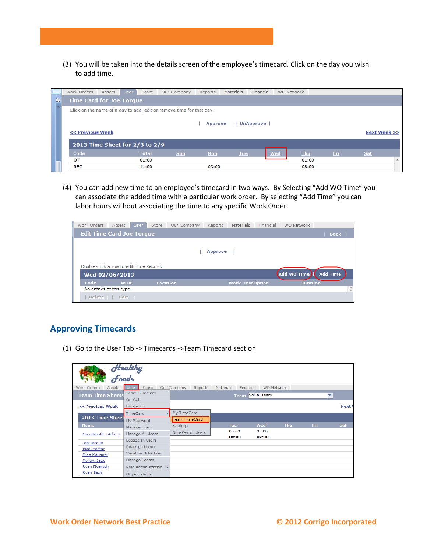(3) You will be taken into the details screen of the employee's timecard. Click on the day you wish to add time.



(4) You can add new time to an employee's timecard in two ways. By Selecting "Add WO Time" you can associate the added time with a particular work order. By selecting "Add Time" you can labor hours without associating the time to any specific Work Order.

| Work Orders                             | <b>Assets</b> | <b>User</b> | Store           | Our Company | Reports        | <b>Materials</b>        | Financial | <b>WO Network</b> |                 |   |
|-----------------------------------------|---------------|-------------|-----------------|-------------|----------------|-------------------------|-----------|-------------------|-----------------|---|
| <b>Edit Time Card Joe Torque</b>        |               |             |                 |             |                |                         |           |                   | Back            |   |
|                                         |               |             |                 |             |                |                         |           |                   |                 |   |
|                                         |               |             |                 |             | <b>Approve</b> |                         |           |                   |                 |   |
|                                         |               |             |                 |             |                |                         |           |                   |                 |   |
| Double-click a row to edit Time Record. |               |             |                 |             |                |                         |           |                   |                 |   |
| Wed 02/06/2013                          |               |             |                 |             |                |                         |           | Add WO Time       | <b>Add Time</b> |   |
| Code                                    | WO#           |             | <b>Location</b> |             |                | <b>Work Description</b> |           | <b>Duration</b>   |                 |   |
| No entries of this type                 |               |             |                 |             |                |                         |           |                   |                 | ∸ |
| Delete     Edit                         |               |             |                 |             |                |                         |           |                   |                 |   |

### **Approving Timecards**

(1) Go to the User Tab -> Timecards ->Team Timecard section

|                         | Healthy<br>Foods          |                               |                  |            |                   |      |                          |
|-------------------------|---------------------------|-------------------------------|------------------|------------|-------------------|------|--------------------------|
| Work Orders<br>Assets   | Store<br>Jsei             | Our Company<br><b>Reports</b> | <b>Materials</b> | Financial  | <b>WO Network</b> |      |                          |
| <b>Team Time Sheets</b> | <b>Team Summary</b>       |                               | <b>Team</b>      | SoCal Team |                   |      | $\overline{\phantom{a}}$ |
|                         | On-Call                   |                               |                  |            |                   |      |                          |
| << Previous Week        | Escalation                |                               |                  |            |                   |      | Next V                   |
|                         | <b>TimeCard</b>           | My TimeCard                   |                  |            |                   |      |                          |
| 2013 Time Sheet         | My Password               | Team TimeCard                 |                  |            |                   |      |                          |
| <b>Name</b>             | Manage Users              | <b>Settings</b>               | <b>Tue</b>       | Wed        | <b>Thu</b>        | Fri. | Sat                      |
| Greg Roufa - Admin      | Manage All Users          | Non-Payroll Users             | 08:00            | 07:00      |                   |      |                          |
| Joe Torque              | Logged In Users           |                               | 08:00            | 07:00      |                   |      |                          |
| jose, pastor            | Reassign Users            |                               |                  |            |                   |      |                          |
| Mike Manager            | <b>Vacation Schedules</b> |                               |                  |            |                   |      |                          |
| Molloy, Jack            | Manage Teams              |                               |                  |            |                   |      |                          |
| Ryan Floersch           | Role Administration >     |                               |                  |            |                   |      |                          |
| Ryan Tech               | Organizations             |                               |                  |            |                   |      |                          |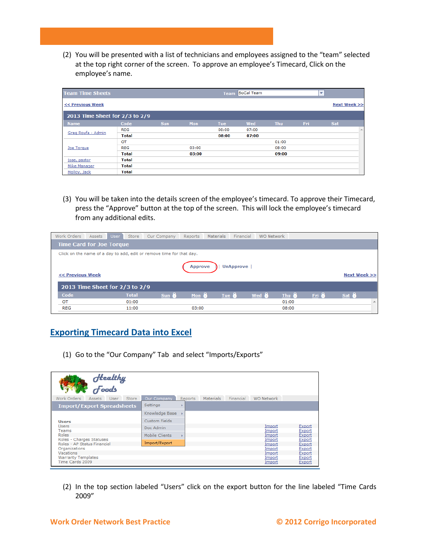(2) You will be presented with a list of technicians and employees assigned to the "team" selected at the top right corner of the screen. To approve an employee's Timecard, Click on the employee's name.

| <b>Team Time Sheets</b>        |              |            |       | <b>Team</b> | <b>SoCal Team</b> |            |      | $\overline{\phantom{a}}$ |              |
|--------------------------------|--------------|------------|-------|-------------|-------------------|------------|------|--------------------------|--------------|
| << Previous Week               |              |            |       |             |                   |            |      |                          | Next Week >> |
| 2013 Time Sheet for 2/3 to 2/9 |              |            |       |             |                   |            |      |                          |              |
| <b>Name</b>                    | Code         | <b>Sun</b> | Mon   | <b>Tue</b>  | Wed               | <b>Thu</b> | Fri. | Sat                      |              |
|                                | <b>REG</b>   |            |       | 08:00       | 07:00             |            |      |                          | A            |
| Greg Roufa - Admin             | <b>Total</b> |            |       | 08:00       | 07:00             |            |      |                          |              |
|                                | <b>OT</b>    |            |       |             |                   | 01:00      |      |                          |              |
| Joe Torque                     | <b>REG</b>   |            | 03:00 |             |                   | 08:00      |      |                          |              |
|                                | <b>Total</b> |            | 03:00 |             |                   | 09:00      |      |                          |              |
| jose, pastor                   | <b>Total</b> |            |       |             |                   |            |      |                          |              |
| Mike Manager                   | <b>Total</b> |            |       |             |                   |            |      |                          |              |
| Molloy, Jack                   | <b>Total</b> |            |       |             |                   |            |      |                          |              |

(3) You will be taken into the details screen of the employee's timecard. To approve their Timecard, press the "Approve" button at the top of the screen. This will lock the employee's timecard from any additional edits.

| Work Orders                     | Assets | User | Store        | Our Company                                                          | Reports        | <b>Materials</b> | Financial        | <b>WO Network</b> |       |       |              |              |
|---------------------------------|--------|------|--------------|----------------------------------------------------------------------|----------------|------------------|------------------|-------------------|-------|-------|--------------|--------------|
| <b>Time Card for Joe Torque</b> |        |      |              |                                                                      |                |                  |                  |                   |       |       |              |              |
|                                 |        |      |              | Click on the name of a day to add, edit or remove time for that day. |                |                  |                  |                   |       |       |              |              |
|                                 |        |      |              |                                                                      | <b>Approve</b> |                  | <b>UnApprove</b> |                   |       |       |              |              |
|                                 |        |      |              |                                                                      |                |                  |                  |                   |       |       |              |              |
|                                 |        |      |              |                                                                      |                |                  |                  |                   |       |       |              |              |
| << Previous Week                |        |      |              |                                                                      |                |                  |                  |                   |       |       |              | Next Week >> |
| 2013 Time Sheet for 2/3 to 2/9  |        |      |              |                                                                      |                |                  |                  |                   |       |       |              |              |
| Code                            |        |      | <b>Total</b> | sum 8                                                                | Mon $\theta$   | Tue $\theta$     |                  | Wed $\theta$      | Thu 8 | Fri & | Sat $\theta$ |              |
| OT                              |        |      | 01:00        |                                                                      |                |                  |                  |                   | 01:00 |       |              | A.           |

## **Exporting Timecard Data into Excel**

(1) Go to the "Our Company" Tab and select "Imports/Exports"

| Healthy<br>Foods                                     |                  |         |           |           |                   |                  |
|------------------------------------------------------|------------------|---------|-----------|-----------|-------------------|------------------|
| Work Orders<br>Store<br><b>Assets</b><br><b>User</b> | Our Company      | Reports | Materials | Financial | <b>WO Network</b> |                  |
| <b>Import/Export Spreadsheets</b>                    | Settings         |         |           |           |                   |                  |
|                                                      | Knowledge Base > |         |           |           |                   |                  |
| <b>Users</b>                                         | Custom Fields    |         |           |           |                   |                  |
| <b>Users</b>                                         | Doc Admin        |         |           |           | Import            | Export           |
| Teams                                                |                  |         |           |           | Import            | Export           |
| Roles<br>Roles - Charges Statuses                    | Mobile Clients   |         |           |           | Import<br>Import  | Export           |
| Roles - AP Status Financial                          | Import/Export    |         |           |           | Import            | Export<br>Export |
| Organizations                                        |                  |         |           |           | Import            | Export           |
| Vacations                                            |                  |         |           |           | Import            | Export           |
| <b>Warranty Templates</b>                            |                  |         |           |           | Import            | Export           |
| Time Cards 2009                                      |                  |         |           |           | Import            | Export           |

(2) In the top section labeled "Users" click on the export button for the line labeled "Time Cards 2009"